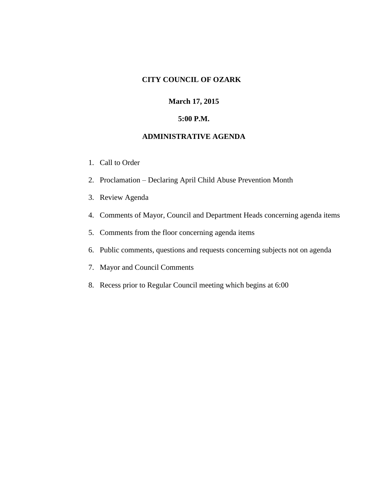# **CITY COUNCIL OF OZARK**

#### **March 17, 2015**

#### **5:00 P.M.**

#### **ADMINISTRATIVE AGENDA**

- 1. Call to Order
- 2. Proclamation Declaring April Child Abuse Prevention Month
- 3. Review Agenda
- 4. Comments of Mayor, Council and Department Heads concerning agenda items
- 5. Comments from the floor concerning agenda items
- 6. Public comments, questions and requests concerning subjects not on agenda
- 7. Mayor and Council Comments
- 8. Recess prior to Regular Council meeting which begins at 6:00